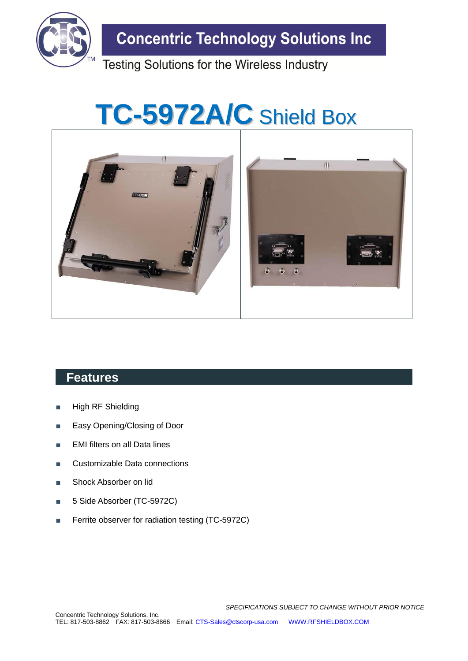

# **TC-5972A/C** Shield Box



### **Features**

- **High RF Shielding**
- Easy Opening/Closing of Door
- EMI filters on all Data lines
- Customizable Data connections
- Shock Absorber on lid
- 5 Side Absorber (TC-5972C)
- Ferrite observer for radiation testing (TC-5972C)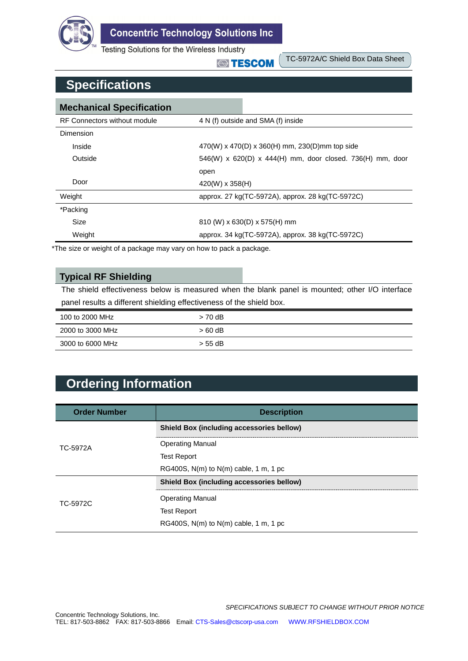

**STESCOM** 

TC-5972A/C Shield Box Data Sheet

## **Specifications**

| <b>Mechanical Specification</b> |                                                           |                                                  |  |
|---------------------------------|-----------------------------------------------------------|--------------------------------------------------|--|
| RF Connectors without module    | 4 N (f) outside and SMA (f) inside                        |                                                  |  |
| Dimension                       |                                                           |                                                  |  |
| Inside                          | 470(W) x 470(D) x 360(H) mm, 230(D)mm top side            |                                                  |  |
| Outside                         | 546(W) x 620(D) x 444(H) mm, door closed. 736(H) mm, door |                                                  |  |
|                                 | open                                                      |                                                  |  |
| Door                            | $420(W) \times 358(H)$                                    |                                                  |  |
| Weight                          |                                                           | approx. 27 kg(TC-5972A), approx. 28 kg(TC-5972C) |  |
| *Packing                        |                                                           |                                                  |  |
| <b>Size</b>                     | $810$ (W) x 630(D) x 575(H) mm                            |                                                  |  |
| Weight                          | approx. 34 kg(TC-5972A), approx. 38 kg(TC-5972C)          |                                                  |  |

\*The size or weight of a package may vary on how to pack a package.

#### **Typical RF Shielding**

The shield effectiveness below is measured when the blank panel is mounted; other I/O interface panel results a different shielding effectiveness of the shield box.

| 100 to 2000 MHz  | $> 70$ dB |
|------------------|-----------|
| 2000 to 3000 MHz | > 60 dB   |
| 3000 to 6000 MHz | $>$ 55 dB |

## **Ordering Information**

| <b>Order Number</b> | <b>Description</b>                               |
|---------------------|--------------------------------------------------|
| TC-5972A            | <b>Shield Box (including accessories bellow)</b> |
|                     | <b>Operating Manual</b>                          |
|                     | <b>Test Report</b>                               |
|                     | RG400S, $N(m)$ to $N(m)$ cable, 1 m, 1 pc        |
| TC-5972C            | <b>Shield Box (including accessories bellow)</b> |
|                     | <b>Operating Manual</b>                          |
|                     | <b>Test Report</b>                               |
|                     | RG400S, $N(m)$ to $N(m)$ cable, 1 m, 1 pc        |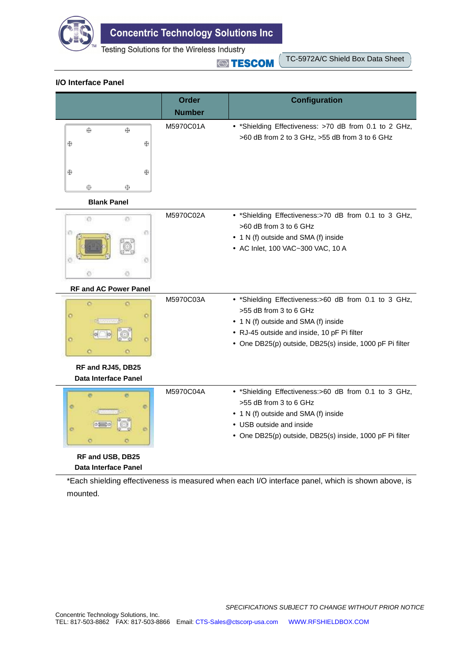

**STESCOM** 

TC-5972A/C Shield Box Data Sheet

#### **I/O Interface Panel**

|                                                  | <b>Order</b>  | <b>Configuration</b>                                                                                                                                                                                                              |
|--------------------------------------------------|---------------|-----------------------------------------------------------------------------------------------------------------------------------------------------------------------------------------------------------------------------------|
|                                                  | <b>Number</b> |                                                                                                                                                                                                                                   |
| ⊕<br>⊕<br>⊕<br>⊕                                 | M5970C01A     | • *Shielding Effectiveness: >70 dB from 0.1 to 2 GHz,<br>>60 dB from 2 to 3 GHz, >55 dB from 3 to 6 GHz                                                                                                                           |
| ⊕<br>⊕<br>$\oplus$<br>⊕                          |               |                                                                                                                                                                                                                                   |
| <b>Blank Panel</b>                               |               |                                                                                                                                                                                                                                   |
| O)<br>Ø.<br>ø<br>83<br>Ø<br>e                    | M5970C02A     | • *Shielding Effectiveness:>70 dB from 0.1 to 3 GHz,<br>>60 dB from 3 to 6 GHz<br>• 1 N (f) outside and SMA (f) inside<br>• AC Inlet, 100 VAC~300 VAC, 10 A                                                                       |
| <b>RF and AC Power Panel</b>                     |               |                                                                                                                                                                                                                                   |
| ö<br>ö<br>o<br>---------<br>ö                    | M5970C03A     | • *Shielding Effectiveness:>60 dB from 0.1 to 3 GHz,<br>>55 dB from 3 to 6 GHz<br>• 1 N (f) outside and SMA (f) inside<br>• RJ-45 outside and inside, 10 pF Pi filter<br>• One DB25(p) outside, DB25(s) inside, 1000 pF Pi filter |
| RF and RJ45, DB25<br><b>Data Interface Panel</b> |               |                                                                                                                                                                                                                                   |
| 繳<br>ø<br>o<br>$\circ$<br>$\circ$<br>ö           | M5970C04A     | • *Shielding Effectiveness:>60 dB from 0.1 to 3 GHz,<br>>55 dB from 3 to 6 GHz<br>• 1 N (f) outside and SMA (f) inside<br>• USB outside and inside<br>• One DB25(p) outside, DB25(s) inside, 1000 pF Pi filter                    |
| RF and USB, DB25<br>Data Interface Panel         |               |                                                                                                                                                                                                                                   |

\*Each shielding effectiveness is measured when each I/O interface panel, which is shown above, is mounted.